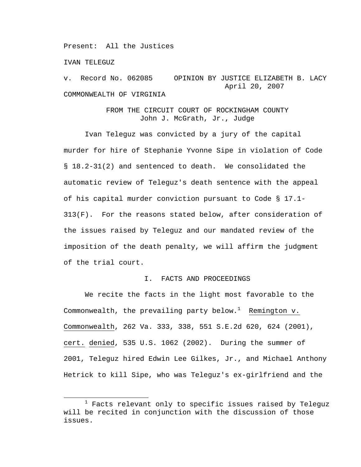Present: All the Justices

IVAN TELEGUZ

v. Record No. 062085 OPINION BY JUSTICE ELIZABETH B. LACY April 20, 2007 COMMONWEALTH OF VIRGINIA

# FROM THE CIRCUIT COURT OF ROCKINGHAM COUNTY John J. McGrath, Jr., Judge

Ivan Teleguz was convicted by a jury of the capital murder for hire of Stephanie Yvonne Sipe in violation of Code § 18.2-31(2) and sentenced to death. We consolidated the automatic review of Teleguz's death sentence with the appeal of his capital murder conviction pursuant to Code § 17.1- 313(F). For the reasons stated below, after consideration of the issues raised by Teleguz and our mandated review of the imposition of the death penalty, we will affirm the judgment of the trial court.

## I. FACTS AND PROCEEDINGS

We recite the facts in the light most favorable to the Commonwealth, the prevailing party below. $^1$  Remington v. Commonwealth, 262 Va. 333, 338, 551 S.E.2d 620, 624 (2001), cert. denied, 535 U.S. 1062 (2002). During the summer of 2001, Teleguz hired Edwin Lee Gilkes, Jr., and Michael Anthony Hetrick to kill Sipe, who was Teleguz's ex-girlfriend and the

 $\frac{1}{1}$  $1$  Facts relevant only to specific issues raised by Teleguz will be recited in conjunction with the discussion of those issues.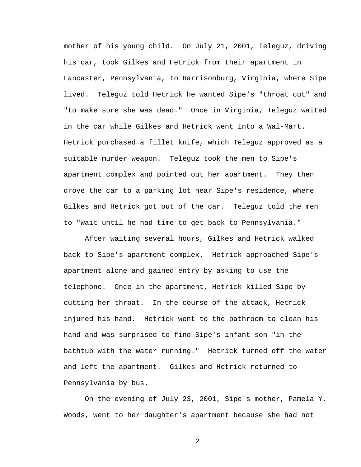mother of his young child. On July 21, 2001, Teleguz, driving his car, took Gilkes and Hetrick from their apartment in Lancaster, Pennsylvania, to Harrisonburg, Virginia, where Sipe lived. Teleguz told Hetrick he wanted Sipe's "throat cut" and "to make sure she was dead." Once in Virginia, Teleguz waited in the car while Gilkes and Hetrick went into a Wal-Mart. Hetrick purchased a fillet knife, which Teleguz approved as a suitable murder weapon. Teleguz took the men to Sipe's apartment complex and pointed out her apartment. They then drove the car to a parking lot near Sipe's residence, where Gilkes and Hetrick got out of the car. Teleguz told the men to "wait until he had time to get back to Pennsylvania."

After waiting several hours, Gilkes and Hetrick walked back to Sipe's apartment complex. Hetrick approached Sipe's apartment alone and gained entry by asking to use the telephone. Once in the apartment, Hetrick killed Sipe by cutting her throat. In the course of the attack, Hetrick injured his hand. Hetrick went to the bathroom to clean his hand and was surprised to find Sipe's infant son "in the bathtub with the water running." Hetrick turned off the water and left the apartment. Gilkes and Hetrick returned to Pennsylvania by bus.

On the evening of July 23, 2001, Sipe's mother, Pamela Y. Woods, went to her daughter's apartment because she had not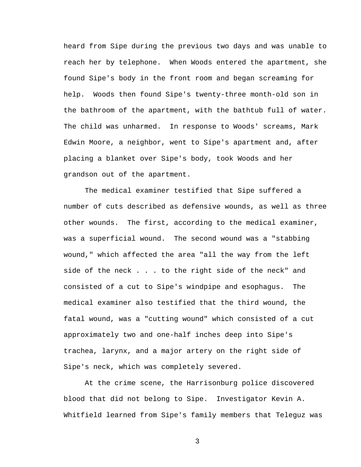heard from Sipe during the previous two days and was unable to reach her by telephone. When Woods entered the apartment, she found Sipe's body in the front room and began screaming for help. Woods then found Sipe's twenty-three month-old son in the bathroom of the apartment, with the bathtub full of water. The child was unharmed. In response to Woods' screams, Mark Edwin Moore, a neighbor, went to Sipe's apartment and, after placing a blanket over Sipe's body, took Woods and her grandson out of the apartment.

The medical examiner testified that Sipe suffered a number of cuts described as defensive wounds, as well as three other wounds. The first, according to the medical examiner, was a superficial wound. The second wound was a "stabbing wound," which affected the area "all the way from the left side of the neck . . . to the right side of the neck" and consisted of a cut to Sipe's windpipe and esophagus. The medical examiner also testified that the third wound, the fatal wound, was a "cutting wound" which consisted of a cut approximately two and one-half inches deep into Sipe's trachea, larynx, and a major artery on the right side of Sipe's neck, which was completely severed.

At the crime scene, the Harrisonburg police discovered blood that did not belong to Sipe. Investigator Kevin A. Whitfield learned from Sipe's family members that Teleguz was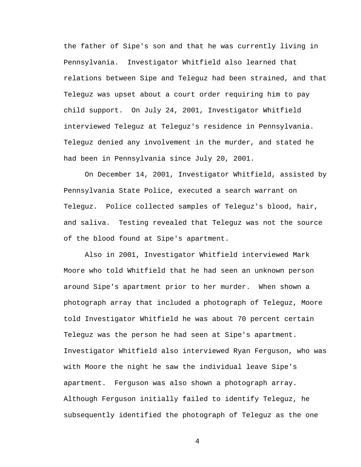the father of Sipe's son and that he was currently living in Pennsylvania. Investigator Whitfield also learned that relations between Sipe and Teleguz had been strained, and that Teleguz was upset about a court order requiring him to pay child support. On July 24, 2001, Investigator Whitfield interviewed Teleguz at Teleguz's residence in Pennsylvania. Teleguz denied any involvement in the murder, and stated he had been in Pennsylvania since July 20, 2001.

 On December 14, 2001, Investigator Whitfield, assisted by Pennsylvania State Police, executed a search warrant on Teleguz. Police collected samples of Teleguz's blood, hair, and saliva. Testing revealed that Teleguz was not the source of the blood found at Sipe's apartment.

 Also in 2001, Investigator Whitfield interviewed Mark Moore who told Whitfield that he had seen an unknown person around Sipe's apartment prior to her murder. When shown a photograph array that included a photograph of Teleguz, Moore told Investigator Whitfield he was about 70 percent certain Teleguz was the person he had seen at Sipe's apartment. Investigator Whitfield also interviewed Ryan Ferguson, who was with Moore the night he saw the individual leave Sipe's apartment. Ferguson was also shown a photograph array. Although Ferguson initially failed to identify Teleguz, he subsequently identified the photograph of Teleguz as the one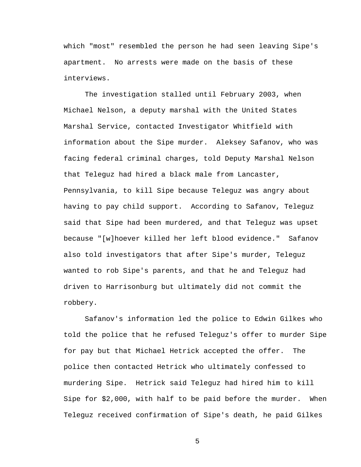which "most" resembled the person he had seen leaving Sipe's apartment. No arrests were made on the basis of these interviews.

 The investigation stalled until February 2003, when Michael Nelson, a deputy marshal with the United States Marshal Service, contacted Investigator Whitfield with information about the Sipe murder. Aleksey Safanov, who was facing federal criminal charges, told Deputy Marshal Nelson that Teleguz had hired a black male from Lancaster, Pennsylvania, to kill Sipe because Teleguz was angry about having to pay child support. According to Safanov, Teleguz said that Sipe had been murdered, and that Teleguz was upset because "[w]hoever killed her left blood evidence." Safanov also told investigators that after Sipe's murder, Teleguz wanted to rob Sipe's parents, and that he and Teleguz had driven to Harrisonburg but ultimately did not commit the robbery.

Safanov's information led the police to Edwin Gilkes who told the police that he refused Teleguz's offer to murder Sipe for pay but that Michael Hetrick accepted the offer. The police then contacted Hetrick who ultimately confessed to murdering Sipe. Hetrick said Teleguz had hired him to kill Sipe for \$2,000, with half to be paid before the murder. When Teleguz received confirmation of Sipe's death, he paid Gilkes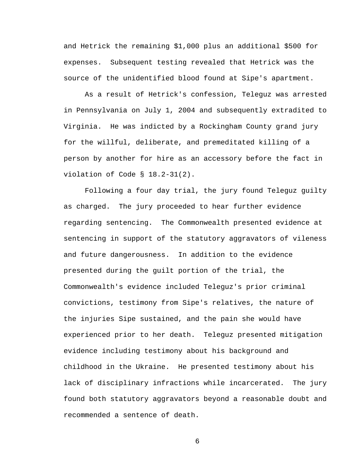and Hetrick the remaining \$1,000 plus an additional \$500 for expenses. Subsequent testing revealed that Hetrick was the source of the unidentified blood found at Sipe's apartment.

As a result of Hetrick's confession, Teleguz was arrested in Pennsylvania on July 1, 2004 and subsequently extradited to Virginia. He was indicted by a Rockingham County grand jury for the willful, deliberate, and premeditated killing of a person by another for hire as an accessory before the fact in violation of Code § 18.2-31(2).

Following a four day trial, the jury found Teleguz guilty as charged. The jury proceeded to hear further evidence regarding sentencing. The Commonwealth presented evidence at sentencing in support of the statutory aggravators of vileness and future dangerousness. In addition to the evidence presented during the guilt portion of the trial, the Commonwealth's evidence included Teleguz's prior criminal convictions, testimony from Sipe's relatives, the nature of the injuries Sipe sustained, and the pain she would have experienced prior to her death. Teleguz presented mitigation evidence including testimony about his background and childhood in the Ukraine. He presented testimony about his lack of disciplinary infractions while incarcerated. The jury found both statutory aggravators beyond a reasonable doubt and recommended a sentence of death.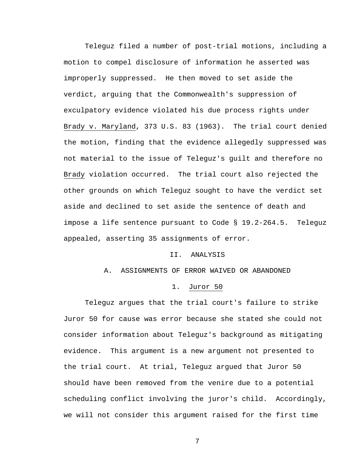Teleguz filed a number of post-trial motions, including a motion to compel disclosure of information he asserted was improperly suppressed. He then moved to set aside the verdict, arguing that the Commonwealth's suppression of exculpatory evidence violated his due process rights under Brady v. Maryland, 373 U.S. 83 (1963). The trial court denied the motion, finding that the evidence allegedly suppressed was not material to the issue of Teleguz's guilt and therefore no Brady violation occurred. The trial court also rejected the other grounds on which Teleguz sought to have the verdict set aside and declined to set aside the sentence of death and impose a life sentence pursuant to Code § 19.2-264.5. Teleguz appealed, asserting 35 assignments of error.

#### II. ANALYSIS

# A. ASSIGNMENTS OF ERROR WAIVED OR ABANDONED

## 1. Juror 50

Teleguz argues that the trial court's failure to strike Juror 50 for cause was error because she stated she could not consider information about Teleguz's background as mitigating evidence. This argument is a new argument not presented to the trial court. At trial, Teleguz argued that Juror 50 should have been removed from the venire due to a potential scheduling conflict involving the juror's child. Accordingly, we will not consider this argument raised for the first time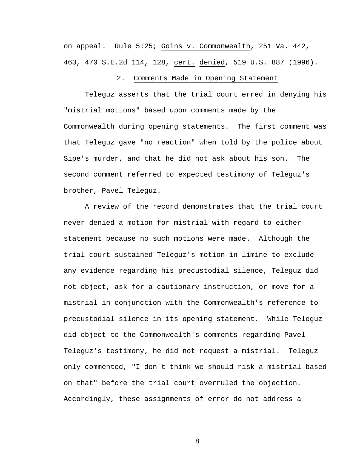on appeal. Rule 5:25; Goins v. Commonwealth, 251 Va. 442, 463, 470 S.E.2d 114, 128, cert. denied, 519 U.S. 887 (1996).

## 2. Comments Made in Opening Statement

 Teleguz asserts that the trial court erred in denying his "mistrial motions" based upon comments made by the Commonwealth during opening statements. The first comment was that Teleguz gave "no reaction" when told by the police about Sipe's murder, and that he did not ask about his son. The second comment referred to expected testimony of Teleguz's brother, Pavel Teleguz.

A review of the record demonstrates that the trial court never denied a motion for mistrial with regard to either statement because no such motions were made. Although the trial court sustained Teleguz's motion in limine to exclude any evidence regarding his precustodial silence, Teleguz did not object, ask for a cautionary instruction, or move for a mistrial in conjunction with the Commonwealth's reference to precustodial silence in its opening statement. While Teleguz did object to the Commonwealth's comments regarding Pavel Teleguz's testimony, he did not request a mistrial. Teleguz only commented, "I don't think we should risk a mistrial based on that" before the trial court overruled the objection. Accordingly, these assignments of error do not address a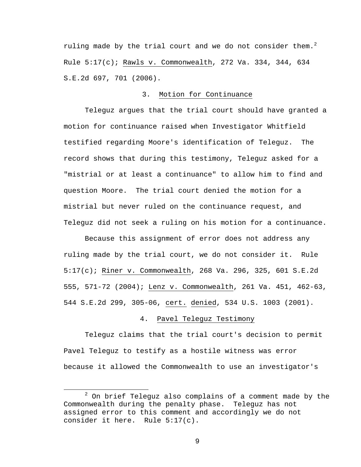ruling made by the trial court and we do not consider them. $^2$ Rule 5:17(c); Rawls v. Commonwealth, 272 Va. 334, 344, 634 S.E.2d 697, 701 (2006).

# 3. Motion for Continuance

Teleguz argues that the trial court should have granted a motion for continuance raised when Investigator Whitfield testified regarding Moore's identification of Teleguz. The record shows that during this testimony, Teleguz asked for a "mistrial or at least a continuance" to allow him to find and question Moore. The trial court denied the motion for a mistrial but never ruled on the continuance request, and Teleguz did not seek a ruling on his motion for a continuance.

Because this assignment of error does not address any ruling made by the trial court, we do not consider it. Rule 5:17(c); Riner v. Commonwealth, 268 Va. 296, 325, 601 S.E.2d 555, 571-72 (2004); Lenz v. Commonwealth, 261 Va. 451, 462-63, 544 S.E.2d 299, 305-06, cert. denied, 534 U.S. 1003 (2001).

## 4. Pavel Teleguz Testimony

Teleguz claims that the trial court's decision to permit Pavel Teleguz to testify as a hostile witness was error because it allowed the Commonwealth to use an investigator's

 $\overline{\phantom{a}}$  2  $2$  On brief Teleguz also complains of a comment made by the Commonwealth during the penalty phase. Teleguz has not assigned error to this comment and accordingly we do not consider it here. Rule 5:17(c).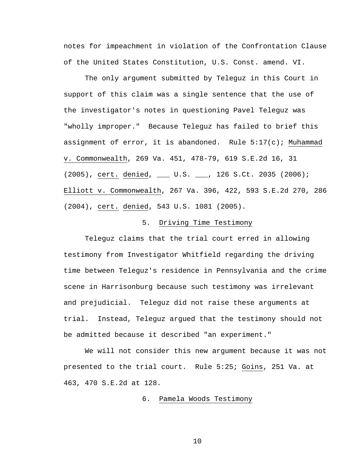notes for impeachment in violation of the Confrontation Clause of the United States Constitution, U.S. Const. amend. VI.

The only argument submitted by Teleguz in this Court in support of this claim was a single sentence that the use of the investigator's notes in questioning Pavel Teleguz was "wholly improper." Because Teleguz has failed to brief this assignment of error, it is abandoned. Rule  $5:17(c)$ ; Muhammad v. Commonwealth, 269 Va. 451, 478-79, 619 S.E.2d 16, 31 (2005), cert. denied, \_\_\_ U.S. \_\_\_, 126 S.Ct. 2035 (2006); Elliott v. Commonwealth, 267 Va. 396, 422, 593 S.E.2d 270, 286 (2004), cert. denied, 543 U.S. 1081 (2005).

# 5. Driving Time Testimony

Teleguz claims that the trial court erred in allowing testimony from Investigator Whitfield regarding the driving time between Teleguz's residence in Pennsylvania and the crime scene in Harrisonburg because such testimony was irrelevant and prejudicial. Teleguz did not raise these arguments at trial. Instead, Teleguz argued that the testimony should not be admitted because it described "an experiment."

We will not consider this new argument because it was not presented to the trial court. Rule 5:25; Goins, 251 Va. at 463, 470 S.E.2d at 128.

## 6. Pamela Woods Testimony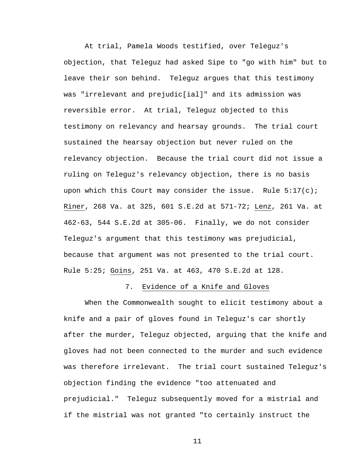At trial, Pamela Woods testified, over Teleguz's objection, that Teleguz had asked Sipe to "go with him" but to leave their son behind. Teleguz argues that this testimony was "irrelevant and prejudic[ial]" and its admission was reversible error. At trial, Teleguz objected to this testimony on relevancy and hearsay grounds. The trial court sustained the hearsay objection but never ruled on the relevancy objection. Because the trial court did not issue a ruling on Teleguz's relevancy objection, there is no basis upon which this Court may consider the issue. Rule  $5:17(c)$ ; Riner, 268 Va. at 325, 601 S.E.2d at 571-72; Lenz, 261 Va. at 462-63, 544 S.E.2d at 305-06. Finally, we do not consider Teleguz's argument that this testimony was prejudicial, because that argument was not presented to the trial court. Rule 5:25; Goins, 251 Va. at 463, 470 S.E.2d at 128.

## 7. Evidence of a Knife and Gloves

 When the Commonwealth sought to elicit testimony about a knife and a pair of gloves found in Teleguz's car shortly after the murder, Teleguz objected, arguing that the knife and gloves had not been connected to the murder and such evidence was therefore irrelevant. The trial court sustained Teleguz's objection finding the evidence "too attenuated and prejudicial." Teleguz subsequently moved for a mistrial and if the mistrial was not granted "to certainly instruct the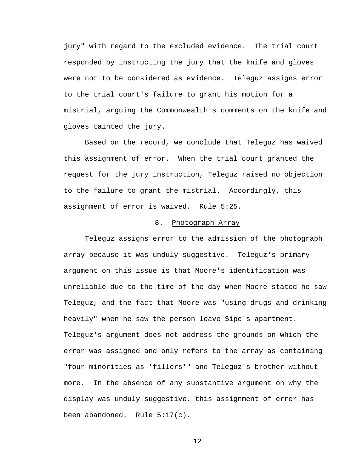jury" with regard to the excluded evidence. The trial court responded by instructing the jury that the knife and gloves were not to be considered as evidence. Teleguz assigns error to the trial court's failure to grant his motion for a mistrial, arguing the Commonwealth's comments on the knife and gloves tainted the jury.

 Based on the record, we conclude that Teleguz has waived this assignment of error. When the trial court granted the request for the jury instruction, Teleguz raised no objection to the failure to grant the mistrial. Accordingly, this assignment of error is waived. Rule 5:25.

# 8. Photograph Array

Teleguz assigns error to the admission of the photograph array because it was unduly suggestive. Teleguz's primary argument on this issue is that Moore's identification was unreliable due to the time of the day when Moore stated he saw Teleguz, and the fact that Moore was "using drugs and drinking heavily" when he saw the person leave Sipe's apartment. Teleguz's argument does not address the grounds on which the error was assigned and only refers to the array as containing "four minorities as 'fillers'" and Teleguz's brother without more. In the absence of any substantive argument on why the display was unduly suggestive, this assignment of error has been abandoned. Rule 5:17(c).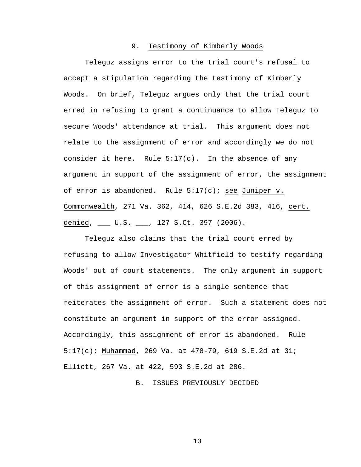## 9. Testimony of Kimberly Woods

Teleguz assigns error to the trial court's refusal to accept a stipulation regarding the testimony of Kimberly Woods. On brief, Teleguz argues only that the trial court erred in refusing to grant a continuance to allow Teleguz to secure Woods' attendance at trial. This argument does not relate to the assignment of error and accordingly we do not consider it here. Rule 5:17(c). In the absence of any argument in support of the assignment of error, the assignment of error is abandoned. Rule  $5:17(c)$ ; see Juniper v. Commonwealth, 271 Va. 362, 414, 626 S.E.2d 383, 416, cert. denied, \_\_\_ U.S. \_\_\_, 127 S.Ct. 397 (2006).

Teleguz also claims that the trial court erred by refusing to allow Investigator Whitfield to testify regarding Woods' out of court statements. The only argument in support of this assignment of error is a single sentence that reiterates the assignment of error. Such a statement does not constitute an argument in support of the error assigned. Accordingly, this assignment of error is abandoned. Rule 5:17(c); Muhammad, 269 Va. at 478-79, 619 S.E.2d at 31; Elliott, 267 Va. at 422, 593 S.E.2d at 286.

B. ISSUES PREVIOUSLY DECIDED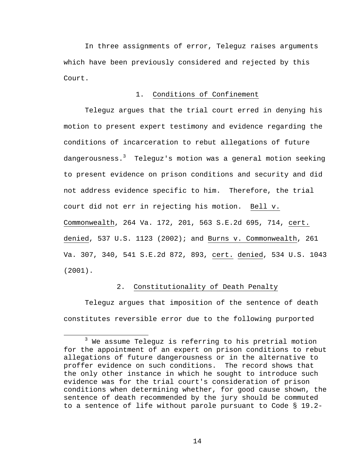In three assignments of error, Teleguz raises arguments which have been previously considered and rejected by this Court.

# 1. Conditions of Confinement

Teleguz argues that the trial court erred in denying his motion to present expert testimony and evidence regarding the conditions of incarceration to rebut allegations of future dangerousness. $^3$  Teleguz's motion was a general motion seeking to present evidence on prison conditions and security and did not address evidence specific to him. Therefore, the trial court did not err in rejecting his motion. Bell v. Commonwealth, 264 Va. 172, 201, 563 S.E.2d 695, 714, cert. denied, 537 U.S. 1123 (2002); and Burns v. Commonwealth, 261 Va. 307, 340, 541 S.E.2d 872, 893, cert. denied, 534 U.S. 1043 (2001).

# 2. Constitutionality of Death Penalty

Teleguz argues that imposition of the sentence of death constitutes reversible error due to the following purported

 $\overline{\phantom{a}}$  3  $3$  We assume Teleguz is referring to his pretrial motion for the appointment of an expert on prison conditions to rebut allegations of future dangerousness or in the alternative to proffer evidence on such conditions. The record shows that the only other instance in which he sought to introduce such evidence was for the trial court's consideration of prison conditions when determining whether, for good cause shown, the sentence of death recommended by the jury should be commuted to a sentence of life without parole pursuant to Code § 19.2-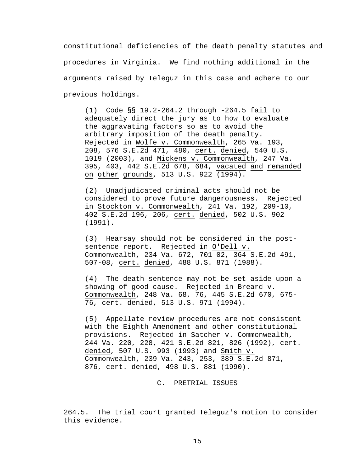constitutional deficiencies of the death penalty statutes and procedures in Virginia. We find nothing additional in the arguments raised by Teleguz in this case and adhere to our previous holdings.

(1) Code §§ 19.2-264.2 through -264.5 fail to adequately direct the jury as to how to evaluate the aggravating factors so as to avoid the arbitrary imposition of the death penalty. Rejected in Wolfe v. Commonwealth, 265 Va. 193, 208, 576 S.E.2d 471, 480, cert. denied, 540 U.S. 1019 (2003), and Mickens v. Commonwealth, 247 Va. 395, 403, 442 S.E.2d 678, 684, vacated and remanded on other grounds, 513 U.S. 922 (1994).

(2) Unadjudicated criminal acts should not be considered to prove future dangerousness. Rejected in Stockton v. Commonwealth, 241 Va. 192, 209-10, 402 S.E.2d 196, 206, cert. denied, 502 U.S. 902 (1991).

(3) Hearsay should not be considered in the postsentence report. Rejected in O'Dell v. Commonwealth, 234 Va. 672, 701-02, 364 S.E.2d 491, 507-08, cert. denied, 488 U.S. 871 (1988).

(4) The death sentence may not be set aside upon a showing of good cause. Rejected in Breard v. Commonwealth, 248 Va. 68, 76, 445 S.E.2d 670, 675- 76, cert. denied, 513 U.S. 971 (1994).

(5) Appellate review procedures are not consistent with the Eighth Amendment and other constitutional provisions. Rejected in Satcher v. Commonwealth, 244 Va. 220, 228, 421 S.E.2d 821, 826 (1992), cert. denied, 507 U.S. 993 (1993) and Smith v. Commonwealth, 239 Va. 243, 253, 389 S.E.2d 871, 876, cert. denied, 498 U.S. 881 (1990).

C. PRETRIAL ISSUES

 $\overline{a}$ 

<sup>264.5.</sup> The trial court granted Teleguz's motion to consider this evidence.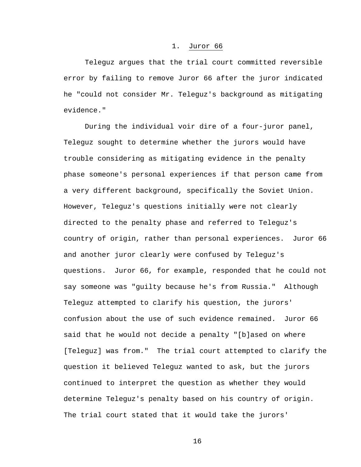### 1. Juror 66

 Teleguz argues that the trial court committed reversible error by failing to remove Juror 66 after the juror indicated he "could not consider Mr. Teleguz's background as mitigating evidence."

 During the individual voir dire of a four-juror panel, Teleguz sought to determine whether the jurors would have trouble considering as mitigating evidence in the penalty phase someone's personal experiences if that person came from a very different background, specifically the Soviet Union. However, Teleguz's questions initially were not clearly directed to the penalty phase and referred to Teleguz's country of origin, rather than personal experiences. Juror 66 and another juror clearly were confused by Teleguz's questions. Juror 66, for example, responded that he could not say someone was "guilty because he's from Russia." Although Teleguz attempted to clarify his question, the jurors' confusion about the use of such evidence remained. Juror 66 said that he would not decide a penalty "[b]ased on where [Teleguz] was from." The trial court attempted to clarify the question it believed Teleguz wanted to ask, but the jurors continued to interpret the question as whether they would determine Teleguz's penalty based on his country of origin. The trial court stated that it would take the jurors'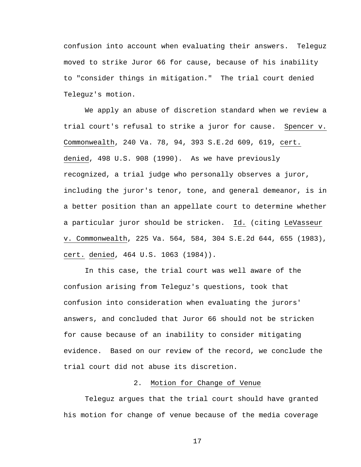confusion into account when evaluating their answers. Teleguz moved to strike Juror 66 for cause, because of his inability to "consider things in mitigation." The trial court denied Teleguz's motion.

We apply an abuse of discretion standard when we review a trial court's refusal to strike a juror for cause. Spencer v. Commonwealth, 240 Va. 78, 94, 393 S.E.2d 609, 619, cert. denied, 498 U.S. 908 (1990). As we have previously recognized, a trial judge who personally observes a juror, including the juror's tenor, tone, and general demeanor, is in a better position than an appellate court to determine whether a particular juror should be stricken. Id. (citing LeVasseur v. Commonwealth, 225 Va. 564, 584, 304 S.E.2d 644, 655 (1983), cert. denied, 464 U.S. 1063 (1984)).

In this case, the trial court was well aware of the confusion arising from Teleguz's questions, took that confusion into consideration when evaluating the jurors' answers, and concluded that Juror 66 should not be stricken for cause because of an inability to consider mitigating evidence. Based on our review of the record, we conclude the trial court did not abuse its discretion.

# 2. Motion for Change of Venue

 Teleguz argues that the trial court should have granted his motion for change of venue because of the media coverage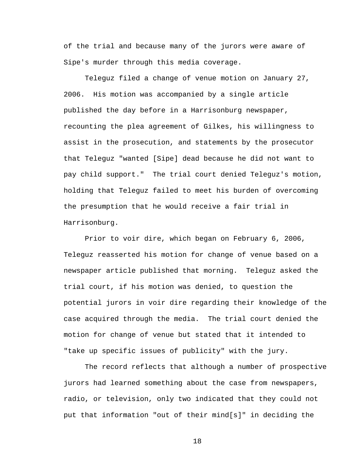of the trial and because many of the jurors were aware of Sipe's murder through this media coverage.

 Teleguz filed a change of venue motion on January 27, 2006. His motion was accompanied by a single article published the day before in a Harrisonburg newspaper, recounting the plea agreement of Gilkes, his willingness to assist in the prosecution, and statements by the prosecutor that Teleguz "wanted [Sipe] dead because he did not want to pay child support." The trial court denied Teleguz's motion, holding that Teleguz failed to meet his burden of overcoming the presumption that he would receive a fair trial in Harrisonburg.

Prior to voir dire, which began on February 6, 2006, Teleguz reasserted his motion for change of venue based on a newspaper article published that morning. Teleguz asked the trial court, if his motion was denied, to question the potential jurors in voir dire regarding their knowledge of the case acquired through the media. The trial court denied the motion for change of venue but stated that it intended to "take up specific issues of publicity" with the jury.

The record reflects that although a number of prospective jurors had learned something about the case from newspapers, radio, or television, only two indicated that they could not put that information "out of their mind[s]" in deciding the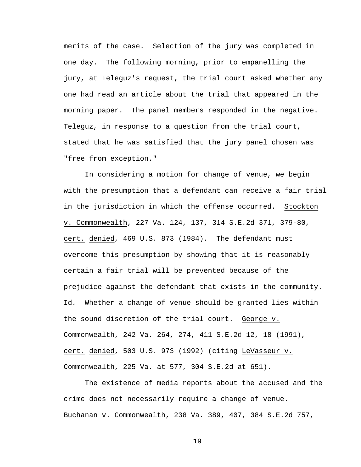merits of the case. Selection of the jury was completed in one day. The following morning, prior to empanelling the jury, at Teleguz's request, the trial court asked whether any one had read an article about the trial that appeared in the morning paper. The panel members responded in the negative. Teleguz, in response to a question from the trial court, stated that he was satisfied that the jury panel chosen was "free from exception."

In considering a motion for change of venue, we begin with the presumption that a defendant can receive a fair trial in the jurisdiction in which the offense occurred. Stockton v. Commonwealth, 227 Va. 124, 137, 314 S.E.2d 371, 379-80, cert. denied, 469 U.S. 873 (1984). The defendant must overcome this presumption by showing that it is reasonably certain a fair trial will be prevented because of the prejudice against the defendant that exists in the community. Id*.* Whether a change of venue should be granted lies within the sound discretion of the trial court. George v. Commonwealth, 242 Va. 264, 274, 411 S.E.2d 12, 18 (1991), cert. denied, 503 U.S. 973 (1992) (citing LeVasseur v. Commonwealth, 225 Va. at 577, 304 S.E.2d at 651).

The existence of media reports about the accused and the crime does not necessarily require a change of venue. Buchanan v. Commonwealth, 238 Va. 389, 407, 384 S.E.2d 757,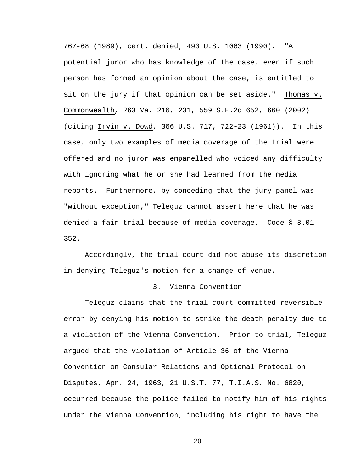767-68 (1989), cert. denied, 493 U.S. 1063 (1990). "A potential juror who has knowledge of the case, even if such person has formed an opinion about the case, is entitled to sit on the jury if that opinion can be set aside." Thomas v. Commonwealth, 263 Va. 216, 231, 559 S.E.2d 652, 660 (2002) (citing Irvin v. Dowd, 366 U.S. 717, 722-23 (1961)). In this case, only two examples of media coverage of the trial were offered and no juror was empanelled who voiced any difficulty with ignoring what he or she had learned from the media reports. Furthermore, by conceding that the jury panel was "without exception," Teleguz cannot assert here that he was denied a fair trial because of media coverage. Code § 8.01- 352.

Accordingly, the trial court did not abuse its discretion in denying Teleguz's motion for a change of venue.

### 3. Vienna Convention

Teleguz claims that the trial court committed reversible error by denying his motion to strike the death penalty due to a violation of the Vienna Convention. Prior to trial, Teleguz argued that the violation of Article 36 of the Vienna Convention on Consular Relations and Optional Protocol on Disputes, Apr. 24, 1963, 21 U.S.T. 77, T.I.A.S. No. 6820, occurred because the police failed to notify him of his rights under the Vienna Convention, including his right to have the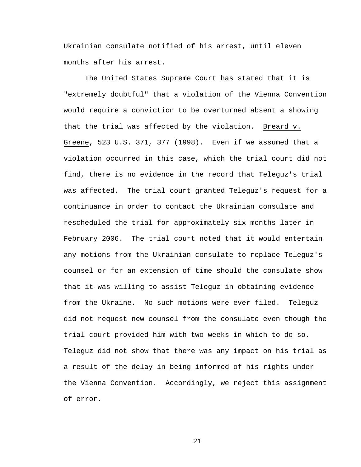Ukrainian consulate notified of his arrest, until eleven months after his arrest.

The United States Supreme Court has stated that it is "extremely doubtful" that a violation of the Vienna Convention would require a conviction to be overturned absent a showing that the trial was affected by the violation. Breard v. Greene, 523 U.S. 371, 377 (1998). Even if we assumed that a violation occurred in this case, which the trial court did not find, there is no evidence in the record that Teleguz's trial was affected. The trial court granted Teleguz's request for a continuance in order to contact the Ukrainian consulate and rescheduled the trial for approximately six months later in February 2006. The trial court noted that it would entertain any motions from the Ukrainian consulate to replace Teleguz's counsel or for an extension of time should the consulate show that it was willing to assist Teleguz in obtaining evidence from the Ukraine. No such motions were ever filed. Teleguz did not request new counsel from the consulate even though the trial court provided him with two weeks in which to do so. Teleguz did not show that there was any impact on his trial as a result of the delay in being informed of his rights under the Vienna Convention. Accordingly, we reject this assignment of error.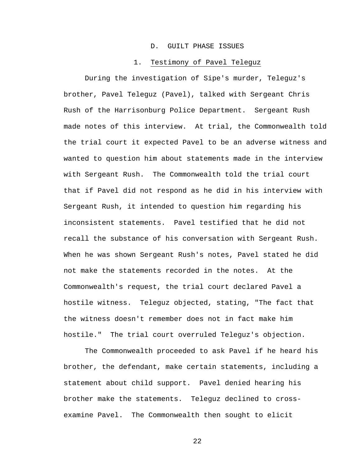#### D. GUILT PHASE ISSUES

#### 1. Testimony of Pavel Teleguz

During the investigation of Sipe's murder, Teleguz's brother, Pavel Teleguz (Pavel), talked with Sergeant Chris Rush of the Harrisonburg Police Department. Sergeant Rush made notes of this interview. At trial, the Commonwealth told the trial court it expected Pavel to be an adverse witness and wanted to question him about statements made in the interview with Sergeant Rush. The Commonwealth told the trial court that if Pavel did not respond as he did in his interview with Sergeant Rush, it intended to question him regarding his inconsistent statements. Pavel testified that he did not recall the substance of his conversation with Sergeant Rush. When he was shown Sergeant Rush's notes, Pavel stated he did not make the statements recorded in the notes. At the Commonwealth's request, the trial court declared Pavel a hostile witness. Teleguz objected, stating, "The fact that the witness doesn't remember does not in fact make him hostile." The trial court overruled Teleguz's objection.

The Commonwealth proceeded to ask Pavel if he heard his brother, the defendant, make certain statements, including a statement about child support. Pavel denied hearing his brother make the statements. Teleguz declined to crossexamine Pavel. The Commonwealth then sought to elicit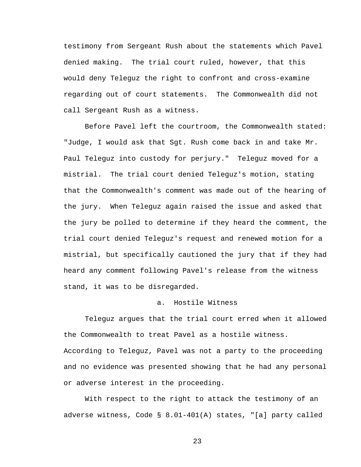testimony from Sergeant Rush about the statements which Pavel denied making. The trial court ruled, however, that this would deny Teleguz the right to confront and cross-examine regarding out of court statements. The Commonwealth did not call Sergeant Rush as a witness.

Before Pavel left the courtroom, the Commonwealth stated: "Judge, I would ask that Sgt. Rush come back in and take Mr. Paul Teleguz into custody for perjury." Teleguz moved for a mistrial. The trial court denied Teleguz's motion, stating that the Commonwealth's comment was made out of the hearing of the jury. When Teleguz again raised the issue and asked that the jury be polled to determine if they heard the comment, the trial court denied Teleguz's request and renewed motion for a mistrial, but specifically cautioned the jury that if they had heard any comment following Pavel's release from the witness stand, it was to be disregarded.

## a. Hostile Witness

Teleguz argues that the trial court erred when it allowed the Commonwealth to treat Pavel as a hostile witness.

According to Teleguz, Pavel was not a party to the proceeding and no evidence was presented showing that he had any personal or adverse interest in the proceeding.

With respect to the right to attack the testimony of an adverse witness, Code § 8.01-401(A) states, "[a] party called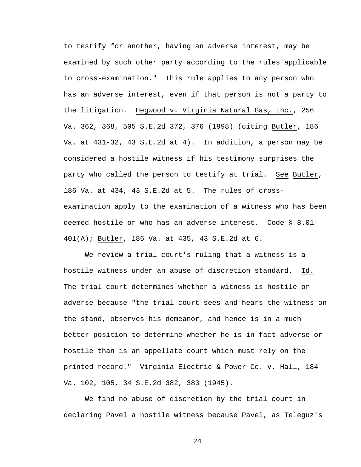to testify for another, having an adverse interest, may be examined by such other party according to the rules applicable to cross-examination." This rule applies to any person who has an adverse interest, even if that person is not a party to the litigation. Hegwood v. Virginia Natural Gas, Inc., 256 Va. 362, 368, 505 S.E.2d 372, 376 (1998) (citing Butler, 186 Va. at 431-32, 43 S.E.2d at 4). In addition, a person may be considered a hostile witness if his testimony surprises the party who called the person to testify at trial. See Butler, 186 Va. at 434, 43 S.E.2d at 5. The rules of crossexamination apply to the examination of a witness who has been deemed hostile or who has an adverse interest. Code § 8.01- 401(A); Butler, 186 Va. at 435, 43 S.E.2d at 6.

We review a trial court's ruling that a witness is a hostile witness under an abuse of discretion standard. Id. The trial court determines whether a witness is hostile or adverse because "the trial court sees and hears the witness on the stand, observes his demeanor, and hence is in a much better position to determine whether he is in fact adverse or hostile than is an appellate court which must rely on the printed record." Virginia Electric & Power Co. v. Hall, 184 Va. 102, 105, 34 S.E.2d 382, 383 (1945).

We find no abuse of discretion by the trial court in declaring Pavel a hostile witness because Pavel, as Teleguz's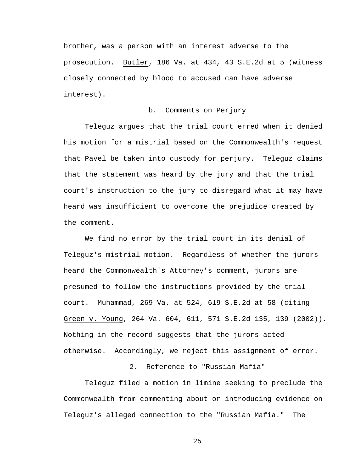brother, was a person with an interest adverse to the prosecution. Butler, 186 Va. at 434, 43 S.E.2d at 5 (witness closely connected by blood to accused can have adverse interest).

## b. Comments on Perjury

Teleguz argues that the trial court erred when it denied his motion for a mistrial based on the Commonwealth's request that Pavel be taken into custody for perjury. Teleguz claims that the statement was heard by the jury and that the trial court's instruction to the jury to disregard what it may have heard was insufficient to overcome the prejudice created by the comment.

We find no error by the trial court in its denial of Teleguz's mistrial motion. Regardless of whether the jurors heard the Commonwealth's Attorney's comment, jurors are presumed to follow the instructions provided by the trial court. Muhammad, 269 Va. at 524, 619 S.E.2d at 58 (citing Green v. Young, 264 Va. 604, 611, 571 S.E.2d 135, 139 (2002)). Nothing in the record suggests that the jurors acted otherwise. Accordingly, we reject this assignment of error.

# 2. Reference to "Russian Mafia"

Teleguz filed a motion in limine seeking to preclude the Commonwealth from commenting about or introducing evidence on Teleguz's alleged connection to the "Russian Mafia." The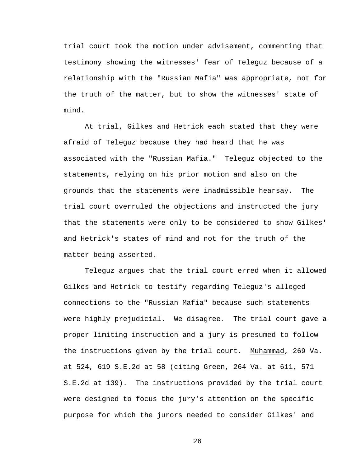trial court took the motion under advisement, commenting that testimony showing the witnesses' fear of Teleguz because of a relationship with the "Russian Mafia" was appropriate, not for the truth of the matter, but to show the witnesses' state of mind.

At trial, Gilkes and Hetrick each stated that they were afraid of Teleguz because they had heard that he was associated with the "Russian Mafia." Teleguz objected to the statements, relying on his prior motion and also on the grounds that the statements were inadmissible hearsay. The trial court overruled the objections and instructed the jury that the statements were only to be considered to show Gilkes' and Hetrick's states of mind and not for the truth of the matter being asserted.

Teleguz argues that the trial court erred when it allowed Gilkes and Hetrick to testify regarding Teleguz's alleged connections to the "Russian Mafia" because such statements were highly prejudicial. We disagree. The trial court gave a proper limiting instruction and a jury is presumed to follow the instructions given by the trial court. Muhammad, 269 Va. at 524, 619 S.E.2d at 58 (citing Green, 264 Va. at 611, 571 S.E.2d at 139). The instructions provided by the trial court were designed to focus the jury's attention on the specific purpose for which the jurors needed to consider Gilkes' and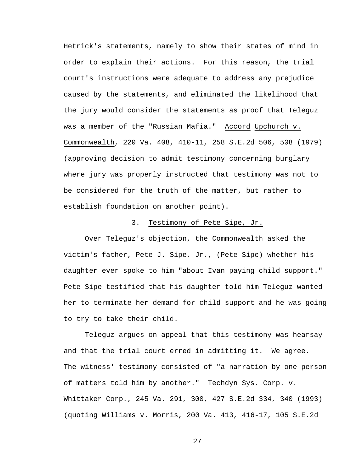Hetrick's statements, namely to show their states of mind in order to explain their actions. For this reason, the trial court's instructions were adequate to address any prejudice caused by the statements, and eliminated the likelihood that the jury would consider the statements as proof that Teleguz was a member of the "Russian Mafia." Accord Upchurch v. Commonwealth, 220 Va. 408, 410-11, 258 S.E.2d 506, 508 (1979) (approving decision to admit testimony concerning burglary where jury was properly instructed that testimony was not to be considered for the truth of the matter, but rather to establish foundation on another point).

# 3. Testimony of Pete Sipe, Jr.

Over Teleguz's objection, the Commonwealth asked the victim's father, Pete J. Sipe, Jr., (Pete Sipe) whether his daughter ever spoke to him "about Ivan paying child support." Pete Sipe testified that his daughter told him Teleguz wanted her to terminate her demand for child support and he was going to try to take their child.

Teleguz argues on appeal that this testimony was hearsay and that the trial court erred in admitting it. We agree. The witness' testimony consisted of "a narration by one person of matters told him by another." Techdyn Sys. Corp. v. Whittaker Corp., 245 Va. 291, 300, 427 S.E.2d 334, 340 (1993) (quoting Williams v. Morris, 200 Va. 413, 416-17, 105 S.E.2d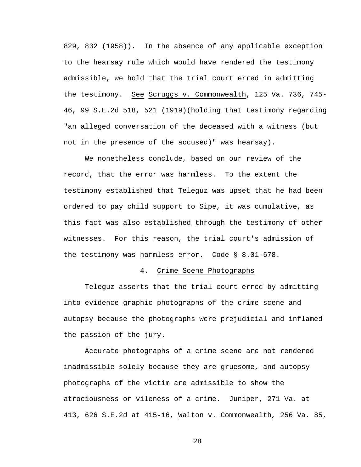829, 832 (1958)). In the absence of any applicable exception to the hearsay rule which would have rendered the testimony admissible, we hold that the trial court erred in admitting the testimony. See Scruggs v. Commonwealth, 125 Va. 736, 745- 46, 99 S.E.2d 518, 521 (1919)(holding that testimony regarding "an alleged conversation of the deceased with a witness (but not in the presence of the accused)" was hearsay).

We nonetheless conclude, based on our review of the record, that the error was harmless. To the extent the testimony established that Teleguz was upset that he had been ordered to pay child support to Sipe, it was cumulative, as this fact was also established through the testimony of other witnesses. For this reason, the trial court's admission of the testimony was harmless error. Code § 8.01-678.

### 4. Crime Scene Photographs

Teleguz asserts that the trial court erred by admitting into evidence graphic photographs of the crime scene and autopsy because the photographs were prejudicial and inflamed the passion of the jury.

Accurate photographs of a crime scene are not rendered inadmissible solely because they are gruesome, and autopsy photographs of the victim are admissible to show the atrociousness or vileness of a crime. Juniper, 271 Va. at 413, 626 S.E.2d at 415-16, Walton v. Commonwealth*,* 256 Va. 85,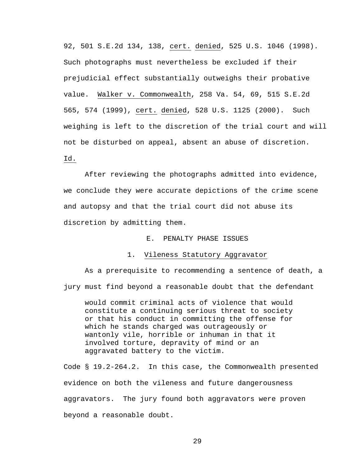92, 501 S.E.2d 134, 138, cert. denied, 525 U.S. 1046 (1998). Such photographs must nevertheless be excluded if their prejudicial effect substantially outweighs their probative value. Walker v. Commonwealth, 258 Va. 54, 69, 515 S.E.2d 565, 574 (1999), cert. denied, 528 U.S. 1125 (2000). Such weighing is left to the discretion of the trial court and will not be disturbed on appeal, absent an abuse of discretion. Id.

After reviewing the photographs admitted into evidence, we conclude they were accurate depictions of the crime scene and autopsy and that the trial court did not abuse its discretion by admitting them.

## E. PENALTY PHASE ISSUES

### 1.Vileness Statutory Aggravator

 As a prerequisite to recommending a sentence of death, a jury must find beyond a reasonable doubt that the defendant

would commit criminal acts of violence that would constitute a continuing serious threat to society or that his conduct in committing the offense for which he stands charged was outrageously or wantonly vile, horrible or inhuman in that it involved torture, depravity of mind or an aggravated battery to the victim.

Code § 19.2-264.2. In this case, the Commonwealth presented evidence on both the vileness and future dangerousness aggravators. The jury found both aggravators were proven beyond a reasonable doubt.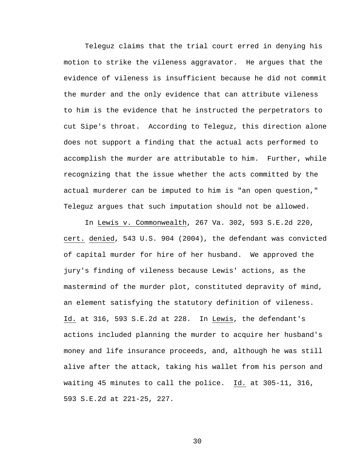Teleguz claims that the trial court erred in denying his motion to strike the vileness aggravator. He argues that the evidence of vileness is insufficient because he did not commit the murder and the only evidence that can attribute vileness to him is the evidence that he instructed the perpetrators to cut Sipe's throat. According to Teleguz, this direction alone does not support a finding that the actual acts performed to accomplish the murder are attributable to him. Further, while recognizing that the issue whether the acts committed by the actual murderer can be imputed to him is "an open question," Teleguz argues that such imputation should not be allowed.

In Lewis v. Commonwealth, 267 Va. 302, 593 S.E.2d 220, cert. denied, 543 U.S. 904 (2004), the defendant was convicted of capital murder for hire of her husband. We approved the jury's finding of vileness because Lewis' actions, as the mastermind of the murder plot, constituted depravity of mind, an element satisfying the statutory definition of vileness. Id. at 316, 593 S.E.2d at 228. In Lewis, the defendant's actions included planning the murder to acquire her husband's money and life insurance proceeds, and, although he was still alive after the attack, taking his wallet from his person and waiting 45 minutes to call the police. Id. at 305-11, 316, 593 S.E.2d at 221-25, 227.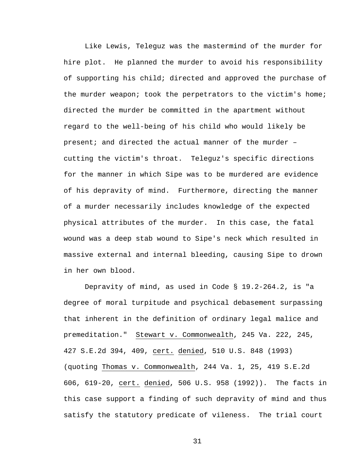Like Lewis, Teleguz was the mastermind of the murder for hire plot. He planned the murder to avoid his responsibility of supporting his child; directed and approved the purchase of the murder weapon; took the perpetrators to the victim's home; directed the murder be committed in the apartment without regard to the well-being of his child who would likely be present; and directed the actual manner of the murder – cutting the victim's throat. Teleguz's specific directions for the manner in which Sipe was to be murdered are evidence of his depravity of mind. Furthermore, directing the manner of a murder necessarily includes knowledge of the expected physical attributes of the murder. In this case, the fatal wound was a deep stab wound to Sipe's neck which resulted in massive external and internal bleeding, causing Sipe to drown in her own blood.

Depravity of mind, as used in Code § 19.2-264.2, is "a degree of moral turpitude and psychical debasement surpassing that inherent in the definition of ordinary legal malice and premeditation." Stewart v. Commonwealth, 245 Va. 222, 245, 427 S.E.2d 394, 409, cert. denied, 510 U.S. 848 (1993) (quoting Thomas v. Commonwealth, 244 Va. 1, 25, 419 S.E.2d 606, 619-20, cert. denied, 506 U.S. 958 (1992)). The facts in this case support a finding of such depravity of mind and thus satisfy the statutory predicate of vileness. The trial court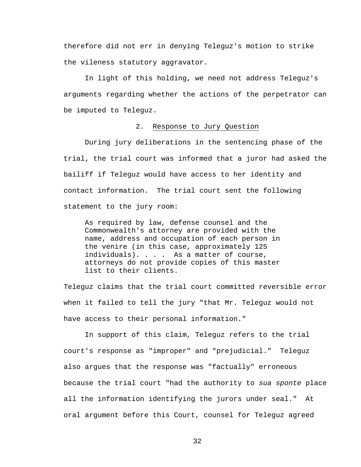therefore did not err in denying Teleguz's motion to strike the vileness statutory aggravator.

In light of this holding, we need not address Teleguz's arguments regarding whether the actions of the perpetrator can be imputed to Teleguz.

### 2. Response to Jury Question

 During jury deliberations in the sentencing phase of the trial, the trial court was informed that a juror had asked the bailiff if Teleguz would have access to her identity and contact information. The trial court sent the following statement to the jury room:

As required by law, defense counsel and the Commonwealth's attorney are provided with the name, address and occupation of each person in the venire (in this case, approximately 125 individuals). . . . As a matter of course, attorneys do not provide copies of this master list to their clients.

Teleguz claims that the trial court committed reversible error when it failed to tell the jury "that Mr. Teleguz would not have access to their personal information."

 In support of this claim, Teleguz refers to the trial court's response as "improper" and "prejudicial." Teleguz also argues that the response was "factually" erroneous because the trial court "had the authority to *sua sponte* place all the information identifying the jurors under seal." At oral argument before this Court, counsel for Teleguz agreed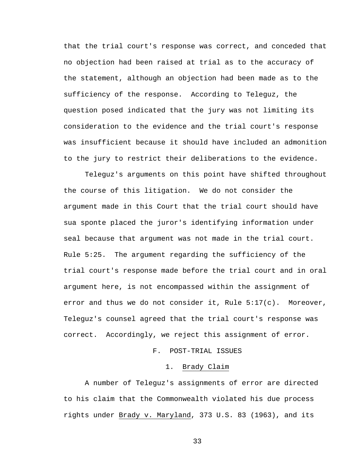that the trial court's response was correct, and conceded that no objection had been raised at trial as to the accuracy of the statement, although an objection had been made as to the sufficiency of the response. According to Teleguz, the question posed indicated that the jury was not limiting its consideration to the evidence and the trial court's response was insufficient because it should have included an admonition to the jury to restrict their deliberations to the evidence.

Teleguz's arguments on this point have shifted throughout the course of this litigation. We do not consider the argument made in this Court that the trial court should have sua sponte placed the juror's identifying information under seal because that argument was not made in the trial court. Rule 5:25. The argument regarding the sufficiency of the trial court's response made before the trial court and in oral argument here, is not encompassed within the assignment of error and thus we do not consider it, Rule 5:17(c). Moreover, Teleguz's counsel agreed that the trial court's response was correct. Accordingly, we reject this assignment of error.

# F. POST-TRIAL ISSUES

#### 1. Brady Claim

A number of Teleguz's assignments of error are directed to his claim that the Commonwealth violated his due process rights under Brady v. Maryland, 373 U.S. 83 (1963), and its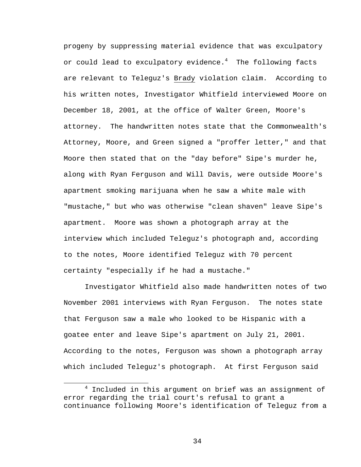progeny by suppressing material evidence that was exculpatory or could lead to exculpatory evidence. $^4$  – The following facts are relevant to Teleguz's Brady violation claim. According to his written notes, Investigator Whitfield interviewed Moore on December 18, 2001, at the office of Walter Green, Moore's attorney. The handwritten notes state that the Commonwealth's Attorney, Moore, and Green signed a "proffer letter," and that Moore then stated that on the "day before" Sipe's murder he, along with Ryan Ferguson and Will Davis, were outside Moore's apartment smoking marijuana when he saw a white male with "mustache," but who was otherwise "clean shaven" leave Sipe's apartment. Moore was shown a photograph array at the interview which included Teleguz's photograph and, according to the notes, Moore identified Teleguz with 70 percent certainty "especially if he had a mustache."

Investigator Whitfield also made handwritten notes of two November 2001 interviews with Ryan Ferguson. The notes state that Ferguson saw a male who looked to be Hispanic with a goatee enter and leave Sipe's apartment on July 21, 2001. According to the notes, Ferguson was shown a photograph array which included Teleguz's photograph. At first Ferguson said

<sup>4</sup>  $4$  Included in this argument on brief was an assignment of error regarding the trial court's refusal to grant a continuance following Moore's identification of Teleguz from a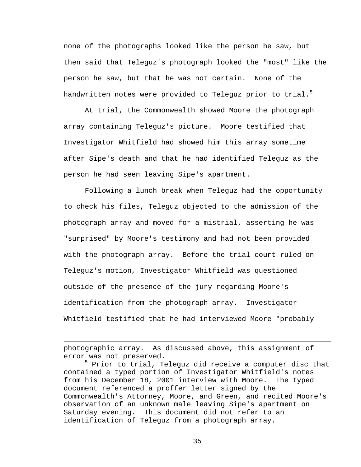none of the photographs looked like the person he saw, but then said that Teleguz's photograph looked the "most" like the person he saw, but that he was not certain. None of the handwritten notes were provided to Teleguz prior to trial.<sup>5</sup>

At trial, the Commonwealth showed Moore the photograph array containing Teleguz's picture. Moore testified that Investigator Whitfield had showed him this array sometime after Sipe's death and that he had identified Teleguz as the person he had seen leaving Sipe's apartment.

Following a lunch break when Teleguz had the opportunity to check his files, Teleguz objected to the admission of the photograph array and moved for a mistrial, asserting he was "surprised" by Moore's testimony and had not been provided with the photograph array. Before the trial court ruled on Teleguz's motion, Investigator Whitfield was questioned outside of the presence of the jury regarding Moore's identification from the photograph array. Investigator Whitfield testified that he had interviewed Moore "probably

photographic array. As discussed above, this assignment of error was not preserved.

 $\overline{a}$ 

5 Prior to trial, Teleguz did receive a computer disc that contained a typed portion of Investigator Whitfield's notes from his December 18, 2001 interview with Moore. The typed document referenced a proffer letter signed by the Commonwealth's Attorney, Moore, and Green, and recited Moore's observation of an unknown male leaving Sipe's apartment on Saturday evening. This document did not refer to an identification of Teleguz from a photograph array.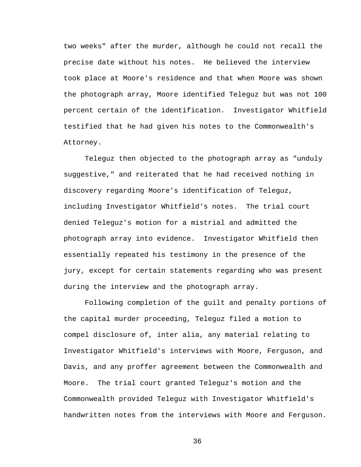two weeks" after the murder, although he could not recall the precise date without his notes. He believed the interview took place at Moore's residence and that when Moore was shown the photograph array, Moore identified Teleguz but was not 100 percent certain of the identification. Investigator Whitfield testified that he had given his notes to the Commonwealth's Attorney.

Teleguz then objected to the photograph array as "unduly suggestive," and reiterated that he had received nothing in discovery regarding Moore's identification of Teleguz, including Investigator Whitfield's notes. The trial court denied Teleguz's motion for a mistrial and admitted the photograph array into evidence. Investigator Whitfield then essentially repeated his testimony in the presence of the jury, except for certain statements regarding who was present during the interview and the photograph array.

Following completion of the guilt and penalty portions of the capital murder proceeding, Teleguz filed a motion to compel disclosure of, inter alia, any material relating to Investigator Whitfield's interviews with Moore, Ferguson, and Davis, and any proffer agreement between the Commonwealth and Moore. The trial court granted Teleguz's motion and the Commonwealth provided Teleguz with Investigator Whitfield's handwritten notes from the interviews with Moore and Ferguson.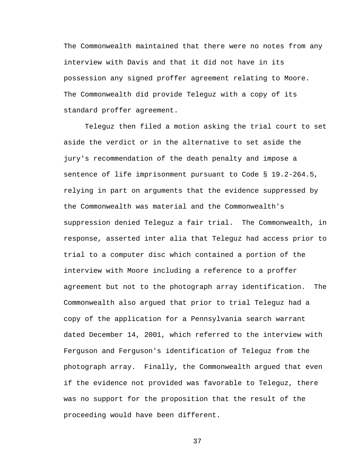The Commonwealth maintained that there were no notes from any interview with Davis and that it did not have in its possession any signed proffer agreement relating to Moore. The Commonwealth did provide Teleguz with a copy of its standard proffer agreement.

Teleguz then filed a motion asking the trial court to set aside the verdict or in the alternative to set aside the jury's recommendation of the death penalty and impose a sentence of life imprisonment pursuant to Code § 19.2-264.5, relying in part on arguments that the evidence suppressed by the Commonwealth was material and the Commonwealth's suppression denied Teleguz a fair trial. The Commonwealth, in response, asserted inter alia that Teleguz had access prior to trial to a computer disc which contained a portion of the interview with Moore including a reference to a proffer agreement but not to the photograph array identification. The Commonwealth also argued that prior to trial Teleguz had a copy of the application for a Pennsylvania search warrant dated December 14, 2001, which referred to the interview with Ferguson and Ferguson's identification of Teleguz from the photograph array. Finally, the Commonwealth argued that even if the evidence not provided was favorable to Teleguz, there was no support for the proposition that the result of the proceeding would have been different.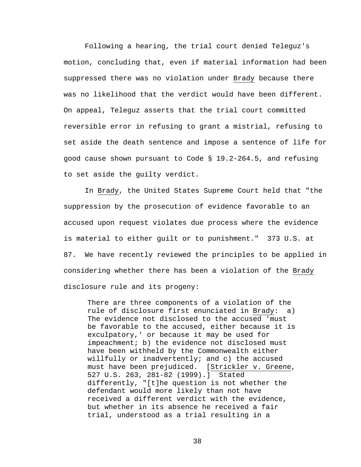Following a hearing, the trial court denied Teleguz's motion, concluding that, even if material information had been suppressed there was no violation under Brady because there was no likelihood that the verdict would have been different. On appeal, Teleguz asserts that the trial court committed reversible error in refusing to grant a mistrial, refusing to set aside the death sentence and impose a sentence of life for good cause shown pursuant to Code § 19.2-264.5, and refusing to set aside the guilty verdict.

In Brady, the United States Supreme Court held that "the suppression by the prosecution of evidence favorable to an accused upon request violates due process where the evidence is material to either guilt or to punishment." 373 U.S. at 87. We have recently reviewed the principles to be applied in considering whether there has been a violation of the Brady disclosure rule and its progeny:

There are three components of a violation of the rule of disclosure first enunciated in Brady: a) The evidence not disclosed to the accused 'must be favorable to the accused, either because it is exculpatory,' or because it may be used for impeachment; b) the evidence not disclosed must have been withheld by the Commonwealth either willfully or inadvertently; and c) the accused must have been prejudiced. [Strickler v. Greene, 527 U.S. 263, 281-82 (1999).] Stated differently, "[t]he question is not whether the defendant would more likely than not have received a different verdict with the evidence, but whether in its absence he received a fair trial, understood as a trial resulting in a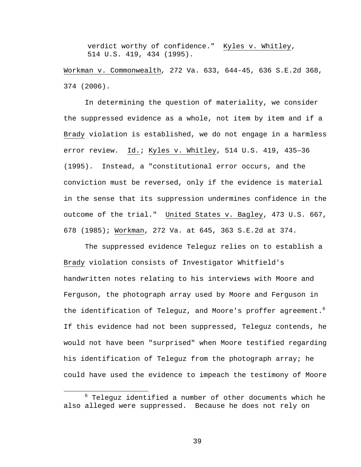verdict worthy of confidence." Kyles v. Whitley, 514 U.S. 419, 434 (1995).

Workman v. Commonwealth*,* 272 Va. 633, 644-45, 636 S.E.2d 368, 374 (2006).

In determining the question of materiality, we consider the suppressed evidence as a whole, not item by item and if a Brady violation is established, we do not engage in a harmless error review. Id.; Kyles v. Whitley, 514 U.S. 419, 435–36 (1995). Instead, a "constitutional error occurs, and the conviction must be reversed, only if the evidence is material in the sense that its suppression undermines confidence in the outcome of the trial." United States v. Bagley, 473 U.S. 667, 678 (1985); Workman, 272 Va. at 645, 363 S.E.2d at 374.

 The suppressed evidence Teleguz relies on to establish a Brady violation consists of Investigator Whitfield's handwritten notes relating to his interviews with Moore and Ferguson, the photograph array used by Moore and Ferguson in the identification of Teleguz, and Moore's proffer agreement. $^6$ If this evidence had not been suppressed, Teleguz contends, he would not have been "surprised" when Moore testified regarding his identification of Teleguz from the photograph array; he could have used the evidence to impeach the testimony of Moore

<sup>6</sup>  $6$  Telequz identified a number of other documents which he also alleged were suppressed. Because he does not rely on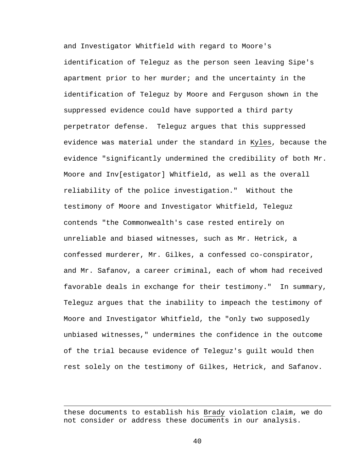and Investigator Whitfield with regard to Moore's identification of Teleguz as the person seen leaving Sipe's apartment prior to her murder; and the uncertainty in the identification of Teleguz by Moore and Ferguson shown in the suppressed evidence could have supported a third party perpetrator defense. Teleguz argues that this suppressed evidence was material under the standard in Kyles, because the evidence "significantly undermined the credibility of both Mr. Moore and Inv[estigator] Whitfield, as well as the overall reliability of the police investigation." Without the testimony of Moore and Investigator Whitfield, Teleguz contends "the Commonwealth's case rested entirely on unreliable and biased witnesses, such as Mr. Hetrick, a confessed murderer, Mr. Gilkes, a confessed co-conspirator, and Mr. Safanov, a career criminal, each of whom had received favorable deals in exchange for their testimony." In summary, Teleguz argues that the inability to impeach the testimony of Moore and Investigator Whitfield, the "only two supposedly unbiased witnesses," undermines the confidence in the outcome of the trial because evidence of Teleguz's guilt would then rest solely on the testimony of Gilkes, Hetrick, and Safanov.

 $\overline{a}$ 

these documents to establish his Brady violation claim, we do not consider or address these documents in our analysis.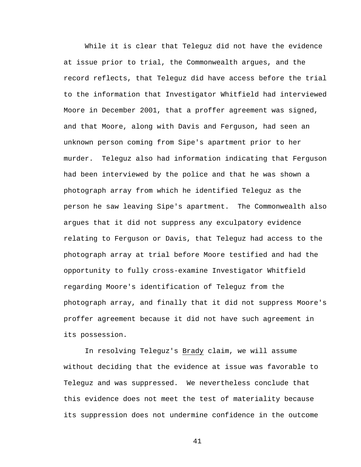While it is clear that Teleguz did not have the evidence at issue prior to trial, the Commonwealth argues, and the record reflects, that Teleguz did have access before the trial to the information that Investigator Whitfield had interviewed Moore in December 2001, that a proffer agreement was signed, and that Moore, along with Davis and Ferguson, had seen an unknown person coming from Sipe's apartment prior to her murder. Teleguz also had information indicating that Ferguson had been interviewed by the police and that he was shown a photograph array from which he identified Teleguz as the person he saw leaving Sipe's apartment. The Commonwealth also argues that it did not suppress any exculpatory evidence relating to Ferguson or Davis, that Teleguz had access to the photograph array at trial before Moore testified and had the opportunity to fully cross-examine Investigator Whitfield regarding Moore's identification of Teleguz from the photograph array, and finally that it did not suppress Moore's proffer agreement because it did not have such agreement in its possession.

In resolving Teleguz's Brady claim, we will assume without deciding that the evidence at issue was favorable to Teleguz and was suppressed. We nevertheless conclude that this evidence does not meet the test of materiality because its suppression does not undermine confidence in the outcome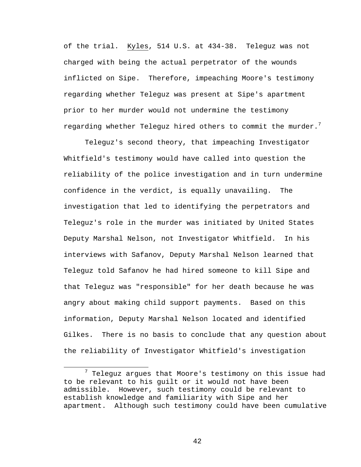of the trial. Kyles, 514 U.S. at 434-38. Teleguz was not charged with being the actual perpetrator of the wounds inflicted on Sipe. Therefore, impeaching Moore's testimony regarding whether Teleguz was present at Sipe's apartment prior to her murder would not undermine the testimony regarding whether Teleguz hired others to commit the murder.<sup>7</sup>

Teleguz's second theory, that impeaching Investigator Whitfield's testimony would have called into question the reliability of the police investigation and in turn undermine confidence in the verdict, is equally unavailing. The investigation that led to identifying the perpetrators and Teleguz's role in the murder was initiated by United States Deputy Marshal Nelson, not Investigator Whitfield. In his interviews with Safanov, Deputy Marshal Nelson learned that Teleguz told Safanov he had hired someone to kill Sipe and that Teleguz was "responsible" for her death because he was angry about making child support payments. Based on this information, Deputy Marshal Nelson located and identified Gilkes. There is no basis to conclude that any question about the reliability of Investigator Whitfield's investigation

<sup>7</sup>  $7$  Teleguz argues that Moore's testimony on this issue had to be relevant to his guilt or it would not have been admissible. However, such testimony could be relevant to establish knowledge and familiarity with Sipe and her apartment. Although such testimony could have been cumulative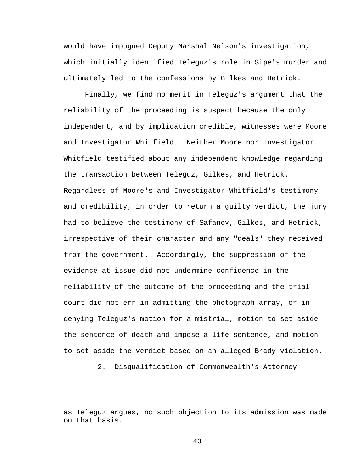would have impugned Deputy Marshal Nelson's investigation, which initially identified Teleguz's role in Sipe's murder and ultimately led to the confessions by Gilkes and Hetrick.

Finally, we find no merit in Teleguz's argument that the reliability of the proceeding is suspect because the only independent, and by implication credible, witnesses were Moore and Investigator Whitfield. Neither Moore nor Investigator Whitfield testified about any independent knowledge regarding the transaction between Teleguz, Gilkes, and Hetrick. Regardless of Moore's and Investigator Whitfield's testimony and credibility, in order to return a guilty verdict, the jury had to believe the testimony of Safanov, Gilkes, and Hetrick, irrespective of their character and any "deals" they received from the government. Accordingly, the suppression of the evidence at issue did not undermine confidence in the reliability of the outcome of the proceeding and the trial court did not err in admitting the photograph array, or in denying Teleguz's motion for a mistrial, motion to set aside the sentence of death and impose a life sentence, and motion to set aside the verdict based on an alleged Brady violation.

2. Disqualification of Commonwealth's Attorney

 $\overline{a}$ 

as Teleguz argues, no such objection to its admission was made on that basis.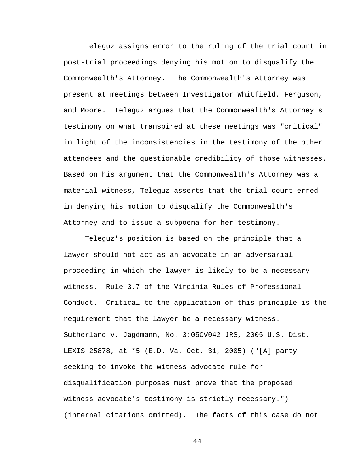Teleguz assigns error to the ruling of the trial court in post-trial proceedings denying his motion to disqualify the Commonwealth's Attorney. The Commonwealth's Attorney was present at meetings between Investigator Whitfield, Ferguson, and Moore. Teleguz argues that the Commonwealth's Attorney's testimony on what transpired at these meetings was "critical" in light of the inconsistencies in the testimony of the other attendees and the questionable credibility of those witnesses. Based on his argument that the Commonwealth's Attorney was a material witness, Teleguz asserts that the trial court erred in denying his motion to disqualify the Commonwealth's Attorney and to issue a subpoena for her testimony.

 Teleguz's position is based on the principle that a lawyer should not act as an advocate in an adversarial proceeding in which the lawyer is likely to be a necessary witness. Rule 3.7 of the Virginia Rules of Professional Conduct. Critical to the application of this principle is the requirement that the lawyer be a necessary witness. Sutherland v. Jagdmann, No. 3:05CV042-JRS, 2005 U.S. Dist. LEXIS 25878, at \*5 (E.D. Va. Oct. 31, 2005) ("[A] party seeking to invoke the witness-advocate rule for disqualification purposes must prove that the proposed witness-advocate's testimony is strictly necessary.") (internal citations omitted). The facts of this case do not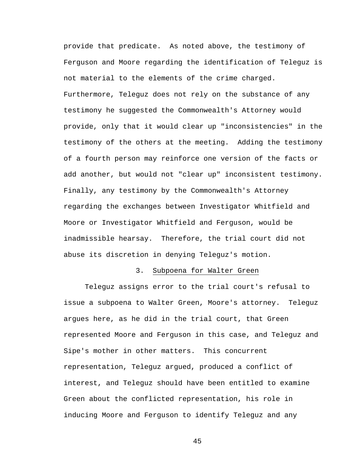provide that predicate. As noted above, the testimony of Ferguson and Moore regarding the identification of Teleguz is not material to the elements of the crime charged. Furthermore, Teleguz does not rely on the substance of any testimony he suggested the Commonwealth's Attorney would provide, only that it would clear up "inconsistencies" in the testimony of the others at the meeting. Adding the testimony of a fourth person may reinforce one version of the facts or add another, but would not "clear up" inconsistent testimony. Finally, any testimony by the Commonwealth's Attorney regarding the exchanges between Investigator Whitfield and Moore or Investigator Whitfield and Ferguson, would be inadmissible hearsay. Therefore, the trial court did not abuse its discretion in denying Teleguz's motion.

## 3. Subpoena for Walter Green

Teleguz assigns error to the trial court's refusal to issue a subpoena to Walter Green, Moore's attorney. Teleguz argues here, as he did in the trial court, that Green represented Moore and Ferguson in this case, and Teleguz and Sipe's mother in other matters. This concurrent representation, Teleguz argued, produced a conflict of interest, and Teleguz should have been entitled to examine Green about the conflicted representation, his role in inducing Moore and Ferguson to identify Teleguz and any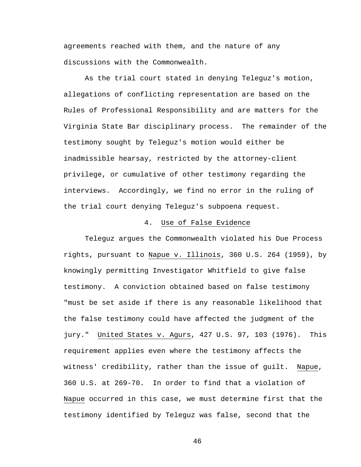agreements reached with them, and the nature of any discussions with the Commonwealth.

As the trial court stated in denying Teleguz's motion, allegations of conflicting representation are based on the Rules of Professional Responsibility and are matters for the Virginia State Bar disciplinary process. The remainder of the testimony sought by Teleguz's motion would either be inadmissible hearsay, restricted by the attorney-client privilege, or cumulative of other testimony regarding the interviews. Accordingly, we find no error in the ruling of the trial court denying Teleguz's subpoena request.

## 4. Use of False Evidence

Teleguz argues the Commonwealth violated his Due Process rights, pursuant to Napue v. Illinois, 360 U.S. 264 (1959), by knowingly permitting Investigator Whitfield to give false testimony.A conviction obtained based on false testimony "must be set aside if there is any reasonable likelihood that the false testimony could have affected the judgment of the jury." United States v. Agurs, 427 U.S. 97, 103 (1976). This requirement applies even where the testimony affects the witness' credibility, rather than the issue of guilt. Napue, 360 U.S. at 269-70. In order to find that a violation of Napue occurred in this case, we must determine first that the testimony identified by Teleguz was false, second that the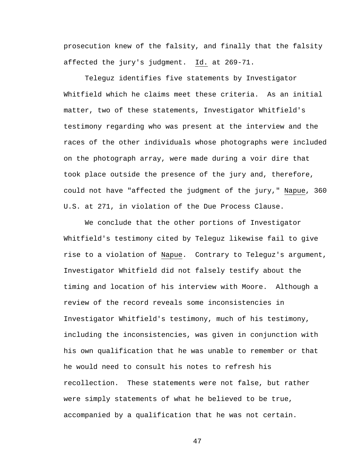prosecution knew of the falsity, and finally that the falsity affected the jury's judgment. Id. at 269-71.

Teleguz identifies five statements by Investigator Whitfield which he claims meet these criteria. As an initial matter, two of these statements, Investigator Whitfield's testimony regarding who was present at the interview and the races of the other individuals whose photographs were included on the photograph array, were made during a voir dire that took place outside the presence of the jury and, therefore, could not have "affected the judgment of the jury," Napue, 360 U.S. at 271, in violation of the Due Process Clause.

We conclude that the other portions of Investigator Whitfield's testimony cited by Teleguz likewise fail to give rise to a violation of Napue. Contrary to Teleguz's argument, Investigator Whitfield did not falsely testify about the timing and location of his interview with Moore. Although a review of the record reveals some inconsistencies in Investigator Whitfield's testimony, much of his testimony, including the inconsistencies, was given in conjunction with his own qualification that he was unable to remember or that he would need to consult his notes to refresh his recollection. These statements were not false, but rather were simply statements of what he believed to be true, accompanied by a qualification that he was not certain.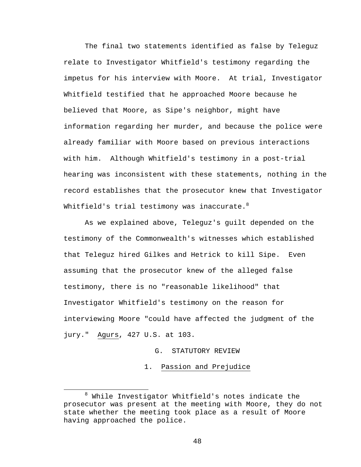The final two statements identified as false by Teleguz relate to Investigator Whitfield's testimony regarding the impetus for his interview with Moore. At trial, Investigator Whitfield testified that he approached Moore because he believed that Moore, as Sipe's neighbor, might have information regarding her murder, and because the police were already familiar with Moore based on previous interactions with him. Although Whitfield's testimony in a post-trial hearing was inconsistent with these statements, nothing in the record establishes that the prosecutor knew that Investigator Whitfield's trial testimony was inaccurate. $8$ 

As we explained above, Teleguz's guilt depended on the testimony of the Commonwealth's witnesses which established that Teleguz hired Gilkes and Hetrick to kill Sipe. Even assuming that the prosecutor knew of the alleged false testimony, there is no "reasonable likelihood" that Investigator Whitfield's testimony on the reason for interviewing Moore "could have affected the judgment of the jury." Agurs, 427 U.S. at 103.

# G. STATUTORY REVIEW

1. Passion and Prejudice

<sup>8</sup>  $8$  While Investigator Whitfield's notes indicate the prosecutor was present at the meeting with Moore, they do not state whether the meeting took place as a result of Moore having approached the police.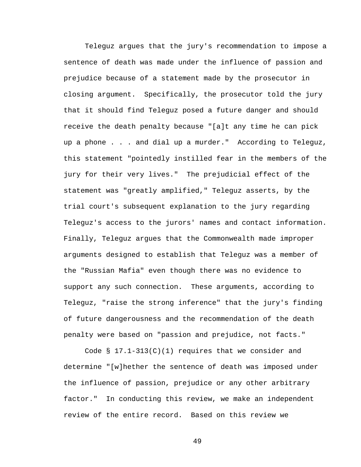Teleguz argues that the jury's recommendation to impose a sentence of death was made under the influence of passion and prejudice because of a statement made by the prosecutor in closing argument. Specifically, the prosecutor told the jury that it should find Teleguz posed a future danger and should receive the death penalty because "[a]t any time he can pick up a phone . . . and dial up a murder." According to Teleguz, this statement "pointedly instilled fear in the members of the jury for their very lives." The prejudicial effect of the statement was "greatly amplified," Teleguz asserts, by the trial court's subsequent explanation to the jury regarding Teleguz's access to the jurors' names and contact information. Finally, Teleguz argues that the Commonwealth made improper arguments designed to establish that Teleguz was a member of the "Russian Mafia" even though there was no evidence to support any such connection. These arguments, according to Teleguz, "raise the strong inference" that the jury's finding of future dangerousness and the recommendation of the death penalty were based on "passion and prejudice, not facts."

Code  $\S$  17.1-313(C)(1) requires that we consider and determine "[w]hether the sentence of death was imposed under the influence of passion, prejudice or any other arbitrary factor." In conducting this review, we make an independent review of the entire record. Based on this review we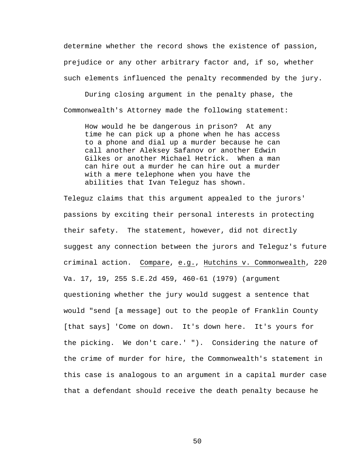determine whether the record shows the existence of passion, prejudice or any other arbitrary factor and, if so, whether such elements influenced the penalty recommended by the jury.

During closing argument in the penalty phase, the Commonwealth's Attorney made the following statement:

How would he be dangerous in prison? At any time he can pick up a phone when he has access to a phone and dial up a murder because he can call another Aleksey Safanov or another Edwin Gilkes or another Michael Hetrick. When a man can hire out a murder he can hire out a murder with a mere telephone when you have the abilities that Ivan Teleguz has shown.

Teleguz claims that this argument appealed to the jurors' passions by exciting their personal interests in protecting their safety. The statement, however, did not directly suggest any connection between the jurors and Teleguz's future criminal action. Compare, e.g., Hutchins v. Commonwealth, 220 Va. 17, 19, 255 S.E.2d 459, 460-61 (1979) (argument questioning whether the jury would suggest a sentence that would "send [a message] out to the people of Franklin County [that says] 'Come on down. It's down here. It's yours for the picking. We don't care.' "). Considering the nature of the crime of murder for hire, the Commonwealth's statement in this case is analogous to an argument in a capital murder case that a defendant should receive the death penalty because he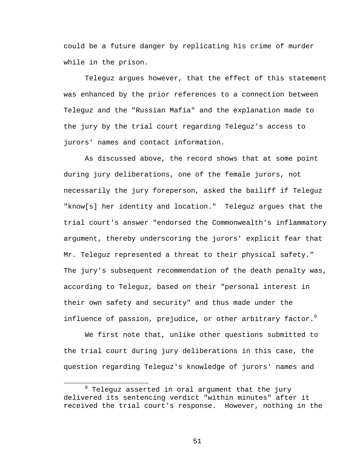could be a future danger by replicating his crime of murder while in the prison.

Teleguz argues however, that the effect of this statement was enhanced by the prior references to a connection between Teleguz and the "Russian Mafia" and the explanation made to the jury by the trial court regarding Teleguz's access to jurors' names and contact information.

As discussed above, the record shows that at some point during jury deliberations, one of the female jurors, not necessarily the jury foreperson, asked the bailiff if Teleguz "know[s] her identity and location." Teleguz argues that the trial court's answer "endorsed the Commonwealth's inflammatory argument, thereby underscoring the jurors' explicit fear that Mr. Teleguz represented a threat to their physical safety." The jury's subsequent recommendation of the death penalty was, according to Teleguz, based on their "personal interest in their own safety and security" and thus made under the influence of passion, prejudice, or other arbitrary factor. $9$ 

We first note that, unlike other questions submitted to the trial court during jury deliberations in this case, the question regarding Teleguz's knowledge of jurors' names and

<sup>9</sup>  $9$  Teleguz asserted in oral argument that the jury delivered its sentencing verdict "within minutes" after it received the trial court's response. However, nothing in the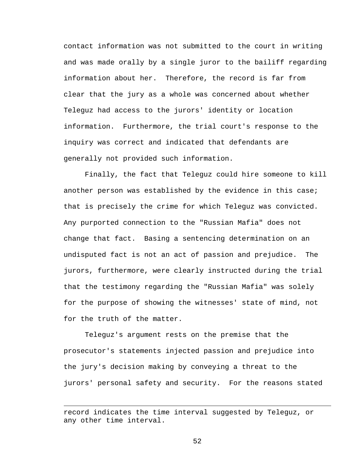contact information was not submitted to the court in writing and was made orally by a single juror to the bailiff regarding information about her. Therefore, the record is far from clear that the jury as a whole was concerned about whether Teleguz had access to the jurors' identity or location information. Furthermore, the trial court's response to the inquiry was correct and indicated that defendants are generally not provided such information.

Finally, the fact that Teleguz could hire someone to kill another person was established by the evidence in this case; that is precisely the crime for which Teleguz was convicted. Any purported connection to the "Russian Mafia" does not change that fact. Basing a sentencing determination on an undisputed fact is not an act of passion and prejudice. The jurors, furthermore, were clearly instructed during the trial that the testimony regarding the "Russian Mafia" was solely for the purpose of showing the witnesses' state of mind, not for the truth of the matter.

Teleguz's argument rests on the premise that the prosecutor's statements injected passion and prejudice into the jury's decision making by conveying a threat to the jurors' personal safety and security. For the reasons stated

 $\overline{a}$ 

record indicates the time interval suggested by Teleguz, or any other time interval.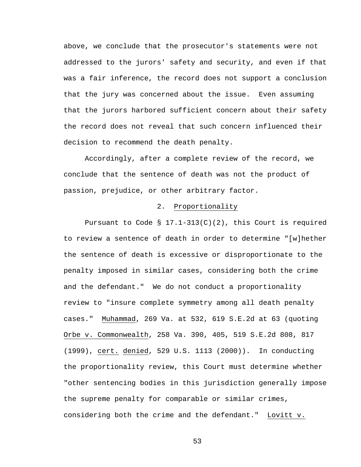above, we conclude that the prosecutor's statements were not addressed to the jurors' safety and security, and even if that was a fair inference, the record does not support a conclusion that the jury was concerned about the issue. Even assuming that the jurors harbored sufficient concern about their safety the record does not reveal that such concern influenced their decision to recommend the death penalty.

Accordingly, after a complete review of the record, we conclude that the sentence of death was not the product of passion, prejudice, or other arbitrary factor.

## 2. Proportionality

Pursuant to Code §  $17.1-313(C)(2)$ , this Court is required to review a sentence of death in order to determine "[w]hether the sentence of death is excessive or disproportionate to the penalty imposed in similar cases, considering both the crime and the defendant." We do not conduct a proportionality review to "insure complete symmetry among all death penalty cases." Muhammad, 269 Va. at 532, 619 S.E.2d at 63 (quoting Orbe v. Commonwealth, 258 Va. 390, 405, 519 S.E.2d 808, 817 (1999), cert. denied, 529 U.S. 1113 (2000)). In conducting the proportionality review, this Court must determine whether "other sentencing bodies in this jurisdiction generally impose the supreme penalty for comparable or similar crimes, considering both the crime and the defendant." Lovitt v.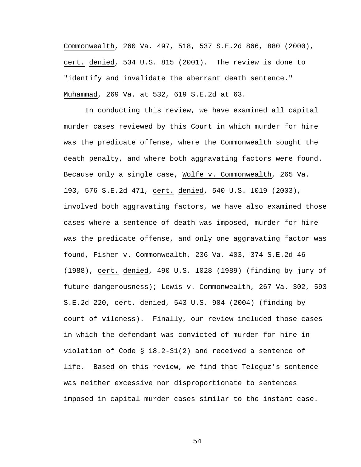Commonwealth, 260 Va. 497, 518, 537 S.E.2d 866, 880 (2000), cert. denied, 534 U.S. 815 (2001). The review is done to "identify and invalidate the aberrant death sentence." Muhammad, 269 Va. at 532, 619 S.E.2d at 63.

In conducting this review, we have examined all capital murder cases reviewed by this Court in which murder for hire was the predicate offense, where the Commonwealth sought the death penalty, and where both aggravating factors were found. Because only a single case, Wolfe v. Commonwealth, 265 Va. 193, 576 S.E.2d 471, cert. denied, 540 U.S. 1019 (2003), involved both aggravating factors, we have also examined those cases where a sentence of death was imposed, murder for hire was the predicate offense, and only one aggravating factor was found, Fisher v. Commonwealth, 236 Va. 403, 374 S.E.2d 46 (1988), cert. denied, 490 U.S. 1028 (1989) (finding by jury of future dangerousness); Lewis v. Commonwealth, 267 Va. 302, 593 S.E.2d 220, cert. denied, 543 U.S. 904 (2004) (finding by court of vileness). Finally, our review included those cases in which the defendant was convicted of murder for hire in violation of Code § 18.2-31(2) and received a sentence of life. Based on this review, we find that Teleguz's sentence was neither excessive nor disproportionate to sentences imposed in capital murder cases similar to the instant case.